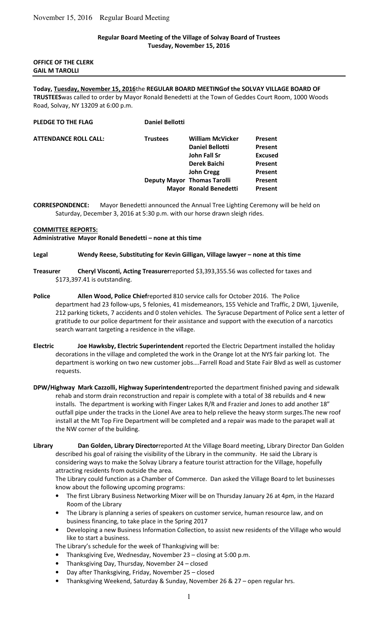## **Regular Board Meeting of the Village of Solvay Board of Trustees Tuesday, November 15, 2016**

### **OFFICE OF THE CLERK GAIL M TAROLLI**

## **Today, Tuesday, November 15, 2016**the **REGULAR BOARD MEETINGof the SOLVAY VILLAGE BOARD OF TRUSTEES**was called to order by Mayor Ronald Benedetti at the Town of Geddes Court Room, 1000 Woods Road, Solvay, NY 13209 at 6:00 p.m.

| PLEDGE TO THE FLAG    | <b>Daniel Bellotti</b> |                                    |                |
|-----------------------|------------------------|------------------------------------|----------------|
| ATTENDANCE ROLL CALL: | <b>Trustees</b>        | <b>William McVicker</b>            | <b>Present</b> |
|                       |                        | <b>Daniel Bellotti</b>             | <b>Present</b> |
|                       |                        | John Fall Sr                       | <b>Excused</b> |
|                       |                        | Derek Baichi                       | Present        |
|                       |                        | <b>John Cregg</b>                  | Present        |
|                       |                        | <b>Deputy Mayor Thomas Tarolli</b> | <b>Present</b> |
|                       |                        | <b>Mayor Ronald Benedetti</b>      | <b>Present</b> |
|                       |                        |                                    |                |

**CORRESPONDENCE:** Mayor Benedetti announced the Annual Tree Lighting Ceremony will be held on Saturday, December 3, 2016 at 5:30 p.m. with our horse drawn sleigh rides.

#### **COMMITTEE REPORTS:**

**Administrative Mayor Ronald Benedetti – none at this time** 

#### **Legal Wendy Reese, Substituting for Kevin Gilligan, Village lawyer – none at this time**

- **Treasurer Cheryl Visconti, Acting Treasurer**reported \$3,393,355.56 was collected for taxes and \$173,397.41 is outstanding.
- **Police Allen Wood, Police Chief**reported 810 service calls for October 2016. The Police department had 23 follow-ups, 5 felonies, 41 misdemeanors, 155 Vehicle and Traffic, 2 DWI, 1juvenile, 212 parking tickets, 7 accidents and 0 stolen vehicles. The Syracuse Department of Police sent a letter of gratitude to our police department for their assistance and support with the execution of a narcotics search warrant targeting a residence in the village.
- **Electric Joe Hawksby, Electric Superintendent** reported the Electric Department installed the holiday decorations in the village and completed the work in the Orange lot at the NYS fair parking lot. The department is working on two new customer jobs….Farrell Road and State Fair Blvd as well as customer requests.
- **DPW/Highway Mark Cazzolli, Highway Superintendent**reported the department finished paving and sidewalk rehab and storm drain reconstruction and repair is complete with a total of 38 rebuilds and 4 new installs. The department is working with Finger Lakes R/R and Frazier and Jones to add another 18" outfall pipe under the tracks in the Lionel Ave area to help relieve the heavy storm surges.The new roof install at the Mt Top Fire Department will be completed and a repair was made to the parapet wall at the NW corner of the building.
- **Library Dan Golden, Library Director**reported At the Village Board meeting, Library Director Dan Golden described his goal of raising the visibility of the Library in the community. He said the Library is considering ways to make the Solvay Library a feature tourist attraction for the Village, hopefully attracting residents from outside the area.

The Library could function as a Chamber of Commerce. Dan asked the Village Board to let businesses know about the following upcoming programs:

- The first Library Business Networking Mixer will be on Thursday January 26 at 4pm, in the Hazard Room of the Library
- The Library is planning a series of speakers on customer service, human resource law, and on business financing, to take place in the Spring 2017
- Developing a new Business Information Collection, to assist new residents of the Village who would like to start a business.

The Library's schedule for the week of Thanksgiving will be:

- Thanksgiving Eve, Wednesday, November 23 closing at 5:00 p.m.
- Thanksgiving Day, Thursday, November 24 closed
- Day after Thanksgiving, Friday, November 25 closed
- Thanksgiving Weekend, Saturday & Sunday, November 26 & 27 open regular hrs.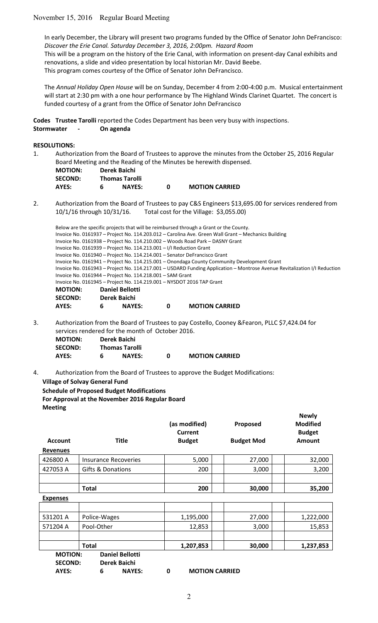# November 15, 2016 Regular Board Meeting

In early December, the Library will present two programs funded by the Office of Senator John DeFrancisco: *Discover the Erie Canal. Saturday December 3, 2016, 2:00pm. Hazard Room*  This will be a program on the history of the Erie Canal, with information on present-day Canal exhibits and renovations, a slide and video presentation by local historian Mr. David Beebe. This program comes courtesy of the Office of Senator John DeFrancisco.

The *Annual Holiday Open House* will be on Sunday, December 4 from 2:00-4:00 p.m. Musical entertainment will start at 2:30 pm with a one hour performance by The Highland Winds Clarinet Quartet. The concert is funded courtesy of a grant from the Office of Senator John DeFrancisco

**Codes Trustee Tarolli** reported the Codes Department has been very busy with inspections. **Stormwater - On agenda** 

## **RESOLUTIONS:**

1. Authorization from the Board of Trustees to approve the minutes from the October 25, 2016 Regular Board Meeting and the Reading of the Minutes be herewith dispensed.

| <b>MOTION:</b> | Derek Baichi |                       |   |  |
|----------------|--------------|-----------------------|---|--|
| <b>SECOND:</b> |              | <b>Thomas Tarolli</b> |   |  |
| AYES:          | 6            | <b>NAYES:</b>         | 0 |  |

2. Authorization from the Board of Trustees to pay C&S Engineers \$13,695.00 for services rendered from 10/1/16 through 10/31/16. Total cost for the Village: \$3,055.00)

**MOTION CARRIED** 

|                                                                                                     |              |                        |   | Below are the specific projects that will be reimbursed through a Grant or the County.                                    |  |
|-----------------------------------------------------------------------------------------------------|--------------|------------------------|---|---------------------------------------------------------------------------------------------------------------------------|--|
| Invoice No. 0161937 – Project No. 114.203.012 – Carolina Ave. Green Wall Grant – Mechanics Building |              |                        |   |                                                                                                                           |  |
|                                                                                                     |              |                        |   | Invoice No. 0161938 - Project No. 114.210.002 - Woods Road Park - DASNY Grant                                             |  |
| Invoice No. 0161939 - Project No. 114.213.001 - I/I Reduction Grant                                 |              |                        |   |                                                                                                                           |  |
|                                                                                                     |              |                        |   | Invoice No. 0161940 - Project No. 114.214.001 - Senator DeFrancisco Grant                                                 |  |
|                                                                                                     |              |                        |   | Invoice No. 0161941 - Project No. 114.215.001 - Onondaga County Community Development Grant                               |  |
|                                                                                                     |              |                        |   | Invoice No. 0161943 – Project No. 114.217.001 – USDARD Funding Application – Montrose Avenue Revitalization I/I Reduction |  |
| Invoice No. 0161944 - Project No. 114.218.001 - SAM Grant                                           |              |                        |   |                                                                                                                           |  |
| Invoice No. 0161945 - Project No. 114.219.001 - NYSDOT 2016 TAP Grant                               |              |                        |   |                                                                                                                           |  |
| <b>MOTION:</b>                                                                                      |              | <b>Daniel Bellotti</b> |   |                                                                                                                           |  |
| <b>SECOND:</b>                                                                                      | Derek Baichi |                        |   |                                                                                                                           |  |
| AYES:                                                                                               | 6            | <b>NAYES:</b>          | 0 | <b>MOTION CARRIED</b>                                                                                                     |  |

3. Authorization from the Board of Trustees to pay Costello, Cooney &Fearon, PLLC \$7,424.04 for services rendered for the month of October 2016.

| <b>MOTION:</b> |   | Derek Baichi          |   |                       |
|----------------|---|-----------------------|---|-----------------------|
| <b>SECOND:</b> |   | <b>Thomas Tarolli</b> |   |                       |
| AYES:          | 6 | <b>NAYES:</b>         | n | <b>MOTION CARRIED</b> |

4. Authorization from the Board of Trustees to approve the Budget Modifications: **Village of Solvay General Fund Schedule of Proposed Budget Modifications**

**For Approval at the November 2016 Regular Board Meeting**

|                 |                             | (as modified)<br><b>Current</b> | Proposed          | <b>Modified</b><br><b>Budget</b> |
|-----------------|-----------------------------|---------------------------------|-------------------|----------------------------------|
| <b>Account</b>  | <b>Title</b>                | <b>Budget</b>                   | <b>Budget Mod</b> | <b>Amount</b>                    |
| <b>Revenues</b> |                             |                                 |                   |                                  |
| 426800 A        | <b>Insurance Recoveries</b> | 5,000                           | 27,000            | 32,000                           |
| 427053 A        | Gifts & Donations           | 200                             | 3,000             | 3,200                            |
|                 |                             |                                 |                   |                                  |
|                 | <b>Total</b>                | 200                             | 30,000            | 35,200                           |
| <b>Expenses</b> |                             |                                 |                   |                                  |
|                 |                             |                                 |                   |                                  |
| 531201 A        | Police-Wages                | 1,195,000                       | 27,000            | 1,222,000                        |
| 571204 A        | Pool-Other                  | 12,853                          | 3,000             | 15,853                           |
|                 |                             |                                 |                   |                                  |
|                 | <b>Total</b>                | 1,207,853                       | 30,000            | 1,237,853                        |
| <b>MOTION:</b>  | <b>Daniel Bellotti</b>      |                                 |                   |                                  |
| <b>SECOND:</b>  | Derek Baichi                |                                 |                   |                                  |
| <b>AYES:</b>    | <b>NAYES:</b><br>6          | 0<br><b>MOTION CARRIED</b>      |                   |                                  |

**Newly**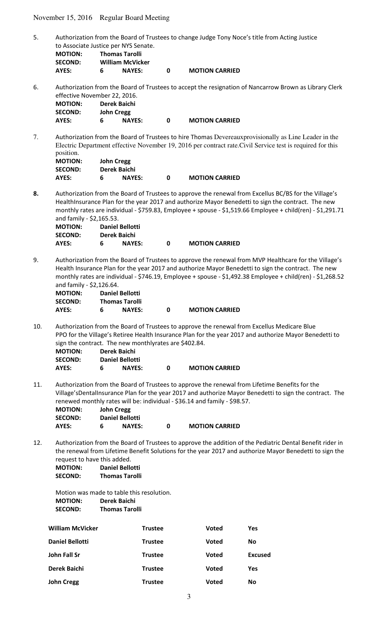November 15, 2016 Regular Board Meeting

5. Authorization from the Board of Trustees to change Judge Tony Noce's title from Acting Justice to Associate Justice per NYS Senate.

| <b>MOTION:</b> | <b>Thomas Tarolli</b>   |
|----------------|-------------------------|
| <b>SECOND:</b> | <b>William McVicker</b> |
| -----          | . <i>. .</i> .          |

**AYES: 6 NAYES: 0 MOTION CARRIED** 

6. Authorization from the Board of Trustees to accept the resignation of Nancarrow Brown as Library Clerk effective November 22, 2016.

| <b>MOTION:</b> | Derek Baichi |                   |  |                       |  |
|----------------|--------------|-------------------|--|-----------------------|--|
| <b>SECOND:</b> |              | <b>John Cregg</b> |  |                       |  |
| AYES:          |              | <b>NAYES:</b>     |  | <b>MOTION CARRIED</b> |  |

7. Authorization from the Board of Trustees to hire Thomas Devereauxprovisionally as Line Leader in the Electric Department effective November 19, 2016 per contract rate.Civil Service test is required for this position.

| <b>MOTION:</b> |   | <b>John Cregg</b> |   |                       |
|----------------|---|-------------------|---|-----------------------|
| <b>SECOND:</b> |   | Derek Baichi      |   |                       |
| AYES:          | 6 | <b>NAYES:</b>     | n | <b>MOTION CARRIED</b> |

**8.** Authorization from the Board of Trustees to approve the renewal from Excellus BC/BS for the Village's HealthInsurance Plan for the year 2017 and authorize Mayor Benedetti to sign the contract. The new monthly rates are individual - \$759.83, Employee + spouse - \$1,519.66 Employee + child(ren) - \$1,291.71 and family - \$2,165.53.

| <b>MOTION:</b> |   | <b>Daniel Bellotti</b> |   |                       |
|----------------|---|------------------------|---|-----------------------|
| <b>SECOND:</b> |   | Derek Baichi           |   |                       |
| AYES:          | 6 | <b>NAYES:</b>          | n | <b>MOTION CARRIED</b> |

9. Authorization from the Board of Trustees to approve the renewal from MVP Healthcare for the Village's Health Insurance Plan for the year 2017 and authorize Mayor Benedetti to sign the contract. The new monthly rates are individual - \$746.19, Employee + spouse - \$1,492.38 Employee + child(ren) - \$1,268.52 and family - \$2,126.64.

| <b>MOTION:</b> | Daniel Bellotti |                       |
|----------------|-----------------|-----------------------|
| <b>SECOND:</b> | Thomas Tarolli  |                       |
| AYES:          | <b>NAYES:</b>   | <b>MOTION CARRIED</b> |

10. Authorization from the Board of Trustees to approve the renewal from Excellus Medicare Blue PPO for the Village's Retiree Health Insurance Plan for the year 2017 and authorize Mayor Benedetti to sign the contract. The new monthlyrates are \$402.84.

| <b>MOTION:</b> |   | Derek Baichi           |   |                       |
|----------------|---|------------------------|---|-----------------------|
| <b>SECOND:</b> |   | <b>Daniel Bellotti</b> |   |                       |
| AYES:          | 6 | <b>NAYES:</b>          | n | <b>MOTION CARRIED</b> |

11. Authorization from the Board of Trustees to approve the renewal from Lifetime Benefits for the Village'sDentalInsurance Plan for the year 2017 and authorize Mayor Benedetti to sign the contract. The renewed monthly rates will be: individual - \$36.14 and family - \$98.57.

| <b>MOTION:</b> | <b>John Cregg</b> |                        |   |                       |  |
|----------------|-------------------|------------------------|---|-----------------------|--|
| <b>SECOND:</b> |                   | <b>Daniel Bellotti</b> |   |                       |  |
| AYES:          | 6                 | <b>NAYES:</b>          | n | <b>MOTION CARRIED</b> |  |

12. Authorization from the Board of Trustees to approve the addition of the Pediatric Dental Benefit rider in the renewal from Lifetime Benefit Solutions for the year 2017 and authorize Mayor Benedetti to sign the request to have this added. **MOTION: Daniel Bellotti** 

| IVIU I IUIV. | Panici Denviu         |
|--------------|-----------------------|
| SECOND:      | <b>Thomas Tarolli</b> |

Motion was made to table this resolution. **MOTION: Derek Baichi SECOND: Thomas Tarolli** 

| <b>William McVicker</b> | <b>Trustee</b> | <b>Voted</b> | Yes            |
|-------------------------|----------------|--------------|----------------|
| Daniel Bellotti         | <b>Trustee</b> | <b>Voted</b> | No             |
| John Fall Sr            | <b>Trustee</b> | <b>Voted</b> | <b>Excused</b> |
| Derek Baichi            | <b>Trustee</b> | <b>Voted</b> | Yes            |
| John Cregg              | <b>Trustee</b> | <b>Voted</b> | No             |